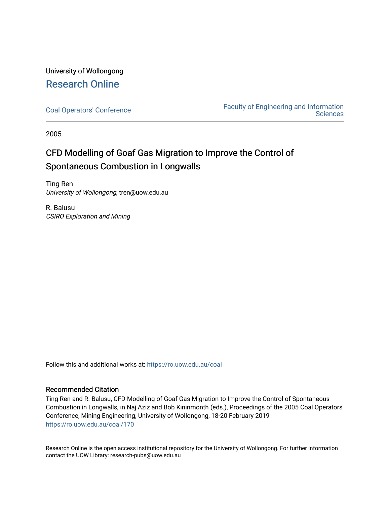# University of Wollongong [Research Online](https://ro.uow.edu.au/)

[Coal Operators' Conference](https://ro.uow.edu.au/coal) [Faculty of Engineering and Information](https://ro.uow.edu.au/eis)  **Sciences** 

2005

# CFD Modelling of Goaf Gas Migration to Improve the Control of Spontaneous Combustion in Longwalls

Ting Ren University of Wollongong, tren@uow.edu.au

R. Balusu CSIRO Exploration and Mining

Follow this and additional works at: [https://ro.uow.edu.au/coal](https://ro.uow.edu.au/coal?utm_source=ro.uow.edu.au%2Fcoal%2F170&utm_medium=PDF&utm_campaign=PDFCoverPages) 

# Recommended Citation

Ting Ren and R. Balusu, CFD Modelling of Goaf Gas Migration to Improve the Control of Spontaneous Combustion in Longwalls, in Naj Aziz and Bob Kininmonth (eds.), Proceedings of the 2005 Coal Operators' Conference, Mining Engineering, University of Wollongong, 18-20 February 2019 [https://ro.uow.edu.au/coal/170](https://ro.uow.edu.au/coal/170?utm_source=ro.uow.edu.au%2Fcoal%2F170&utm_medium=PDF&utm_campaign=PDFCoverPages) 

Research Online is the open access institutional repository for the University of Wollongong. For further information contact the UOW Library: research-pubs@uow.edu.au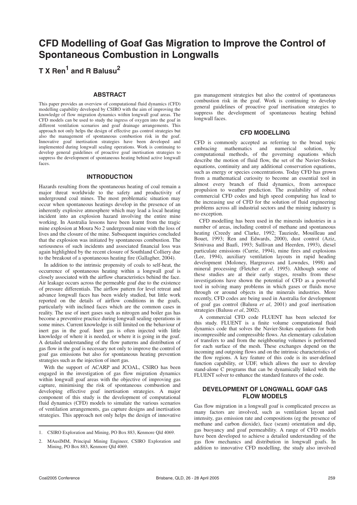# **CFD Modelling of Goaf Gas Migration to Improve the Control of Spontaneous Combustion in Longwalls**

**T X Ren1 and R Balusu2**

### **ABSTRACT**

This paper provides an overview of computational fluid dynamics (CFD) modelling capability developed by CSIRO with the aim of improving the knowledge of flow migration dynamics within longwall goaf areas. The CFD models can be used to study the ingress of oxygen into the goaf in different ventilation scenarios and goaf drainage arrangements. This approach not only helps the design of effective gas control strategies but also the management of spontaneous combustion risk in the goaf. Innovative goaf inertisation strategies have been developed and implemented during longwall sealing operations. Work is continuing to develop general guidelines of proactive goaf inertisation strategies to suppress the development of spontaneous heating behind active longwall faces.

### **INTRODUCTION**

Hazards resulting from the spontaneous heating of coal remain a major threat worldwide to the safety and productivity of underground coal mines. The most problematic situation may occur when spontaneous heatings develop in the presence of an inherently explosive atmosphere which may lead a local heating incident into an explosion hazard involving the entire mine working. In Australia lessons have been learnt from the tragic mine explosion at Moura No 2 underground mine with the loss of lives and the closure of the mine. Subsequent inquiries concluded that the explosion was initiated by spontaneous combustion. The seriousness of such incidents and associated financial loss was again highlighted by the recent closure of Southland Colliery due to the breakout of a spontaneous heating fire (Gallagher, 2004).

In addition to the intrinsic propensity of coals to self-heat, the occurrence of spontaneous heating within a longwall goaf is closely associated with the airflow characteristics behind the face. Air leakage occurs across the permeable goaf due to the existence of pressure differentials. The airflow pattern for level retreat and advance longwall faces has been widely studied, but little work reported on the details of airflow conditions in the goafs, particularly with inclined faces which are the common cases in reality. The use of inert gases such as nitrogen and boiler gas has become a preventive practice during longwall sealing operations in some mines. Current knowledge is still limited on the behaviour of inert gas in the goaf. Inert gas is often injected with little knowledge of where it is needed, or where it is going in the goaf. A detailed understanding of the flow patterns and distribution of gas flow in the goaf is necessary not only to improve the control of goaf gas emissions but also for spontaneous heating prevention strategies such as the injection of inert gas.

With the support of ACARP and JCOAL, CSIRO has been engaged in the investigation of gas flow migration dynamics within longwall goaf areas with the objective of improving gas capture, minimising the risk of spontaneous combustion and developing effective goaf inertisation strategies. A major component of this study is the development of computational fluid dynamics (CFD) models to simulate the various scenarios of ventilation arrangements, gas capture designs and inertisation strategies. This approach not only helps the design of innovative

gas management strategies but also the control of spontaneous combustion risk in the goaf. Work is continuing to develop general guidelines of proactive goaf inertisation strategies to suppress the development of spontaneous heating behind longwall faces.

#### **CFD MODELLING**

CFD is commonly accepted as referring to the broad topic embracing mathematics and numerical solution, by computational methods, of the governing equations which describe the motion of fluid flow, the set of the Navier-Stokes equations, continuity and any additional conservation equations, such as energy or species concentrations. Today CFD has grown from a mathematical curiosity to become an essential tool in almost every branch of fluid dynamics, from aerospace propulsion to weather prediction. The availability of robust commercial CFD codes and high speed computing has lead to the increasing use of CFD for the solution of fluid engineering problems across all industrial sectors and the mining industry is no exception.

CFD modelling has been used in the minerals industries in a number of areas, including control of methane and spontaneous heating (Creedy and Clarke, 1992; Tauziede, Mouilleau and Bouet, 1993; Ren and Edwards, 2000), dust control (Aziz, Srinivasa and Baafi, 1993; Sullivan and Heerden, 1993), diesel particulate emissions (Currie, 1994), mine fires and explosions (Lee, 1994), auxiliary ventilation layouts in rapid heading development (Moloney, Hargreaves and Lowndes, 1998) and mineral processing (Fletcher *et al*, 1995). Although some of these studies are at their early stages, results from these investigations have shown the potential of CFD as a powerful tool in solving many problems in which gases or fluids move through or around objects in the minerals industries. More recently, CFD codes are being used in Australia for development of goaf gas control (Balusu *et al*, 2001) and goaf inertisation strategies (Balusu *et al*, 2002).

A commercial CFD code FLUENT has been selected for this study. FLUENT is a finite volume computational fluid dynamics code that solves the Navier-Stokes equations for both incompressible and compressible flows. An elementary calculation of transfers to and from the neighbouring volumes is performed for each surface of the mesh. These exchanges depend on the incoming and outgoing flows and on the intrinsic characteristics of the flow regions. A key feature of this code is its user-defined function capability, or UDF, which allows the user to develop stand-alone C programs that can be dynamically linked with the FLUENT solver to enhance the standard features of the code.

## **DEVELOPMENT OF LONGWALL GOAF GAS FLOW MODELS**

Gas flow migration in a longwall goaf is complicated process as many factors are involved, such as ventilation layout and intensity, gas emission rate and compositions (eg the presence of methane and carbon dioxide), face (seam) orientation and dip, gas buoyancy and goaf permeability. A range of CFD models have been developed to achieve a detailed understanding of the gas flow mechanics and distribution in longwall goafs. In addition to innovative CFD modelling, the study also involved

<sup>1.</sup> CSIRO Exploration and Mining, PO Box 883, Kenmore Qld 4069.

<sup>2.</sup> MAusIMM, Principal Mining Engineer, CSIRO Exploration and Mining, PO Box 883, Kenmore Qld 4069.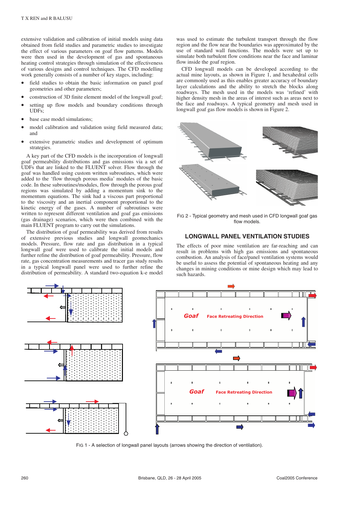extensive validation and calibration of initial models using data obtained from field studies and parametric studies to investigate the effect of various parameters on goaf flow patterns. Models were then used in the development of gas and spontaneous heating control strategies through simulation of the effectiveness of various designs and control techniques. The CFD modelling work generally consists of a number of key stages, including:

- field studies to obtain the basic information on panel goaf geometries and other parameters;
- construction of 3D finite element model of the longwall goaf;
- setting up flow models and boundary conditions through UDFs;
- base case model simulations;
- model calibration and validation using field measured data; and
- extensive parametric studies and development of optimum strategies.

A key part of the CFD models is the incorporation of longwall goaf permeability distributions and gas emissions via a set of UDFs that are linked to the FLUENT solver. Flow through the goaf was handled using custom written subroutines, which were added to the 'flow through porous media' modules of the basic code. In these subroutines/modules, flow through the porous goaf regions was simulated by adding a momentum sink to the momentum equations. The sink had a viscous part proportional to the viscosity and an inertial component proportional to the kinetic energy of the gases. A number of subroutines were written to represent different ventilation and goaf gas emissions (gas drainage) scenarios, which were then combined with the main FLUENT program to carry out the simulations.

The distribution of goaf permeability was derived from results of extensive previous studies and longwall geomechanics models. Pressure, flow rate and gas distribution in a typical longwall goaf were used to calibrate the initial models and further refine the distribution of goaf permeability. Pressure, flow rate, gas concentration measurements and tracer gas study results in a typical longwall panel were used to further refine the distribution of permeability. A standard two-equation k-e model was used to estimate the turbulent transport through the flow region and the flow near the boundaries was approximated by the use of standard wall functions. The models were set up to simulate both turbulent flow conditions near the face and laminar flow inside the goaf region.

CFD longwall models can be developed according to the actual mine layouts, as shown in Figure 1, and hexahedral cells are commonly used as this enables greater accuracy of boundary layer calculations and the ability to stretch the blocks along roadways. The mesh used in the models was 'refined' with higher density mesh in the areas of interest such as areas next to the face and roadways. A typical geometry and mesh used in longwall goaf gas flow models is shown in Figure 2.



FIG 2 - Typical geometry and mesh used in CFD longwall goaf gas flow models.

#### **LONGWALL PANEL VENTILATION STUDIES**

The effects of poor mine ventilation are far-reaching and can result in problems with high gas emissions and spontaneous combustion. An analysis of face/panel ventilation systems would be useful to assess the potential of spontaneous heating and any changes in mining conditions or mine design which may lead to such hazards.



FIG 1 - A selection of longwall panel layouts (arrows showing the direction of ventilation).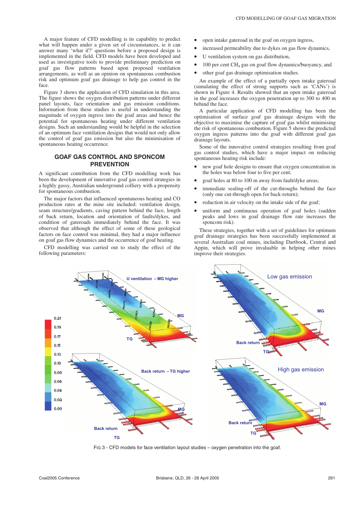A major feature of CFD modelling is its capability to predict what will happen under a given set of circumstances, ie it can answer many 'what if?' questions before a proposed design is implemented in the field. CFD models have been developed and used as investigative tools to provide preliminary prediction on goaf gas flow patterns based upon proposed ventilation arrangements, as well as an opinion on spontaneous combustion risk and optimum goaf gas drainage to help gas control in the face.

Figure 3 shows the application of CFD simulation in this area. The figure shows the oxygen distribution patterns under different panel layouts, face orientation and gas emission conditions. Information from these studies is useful in understanding the magnitude of oxygen ingress into the goaf areas and hence the potential for spontaneous heating under different ventilation designs. Such an understanding would be helpful in the selection of an optimum face ventilation designs that would not only allow the control of goaf gas emission but also the minimisation of spontaneous heating occurrence.

## **GOAF GAS CONTROL AND SPONCOM PREVENTION**

A significant contribution from the CFD modelling work has been the development of innovative goaf gas control strategies in a highly gassy, Australian underground colliery with a propensity for spontaneous combustion.

The major factors that influenced spontaneous heating and CO production rates at the mine site included: ventilation design, seam structure/gradients, caving pattern behind the face, length of back return, location and orientation of faults/dykes, and condition of gateroads immediately behind the face. It was observed that although the effect of some of these geological factors on face control was minimal, they had a major influence on goaf gas flow dynamics and the occurrence of goaf heating.

CFD modelling was carried out to study the effect of the following parameters:

- open intake gateroad in the goaf on oxygen ingress,
- increased permeability due to dykes on gas flow dynamics,
- U ventilation system on gas distribution,
- $100$  per cent CH<sub>4</sub> gas on goaf flow dynamics/buoyancy, and
- other goaf gas drainage optimisation studies.

An example of the effect of a partially open intake gateroad (simulating the effect of strong supports such as 'CANs') is shown in Figure 4. Results showed that an open intake gateroad in the goaf increases the oxygen penetration up to 300 to 400 m behind the face.

A particular application of CFD modelling has been the optimisation of surface goaf gas drainage designs with the objective to maximise the capture of goaf gas whilst minimising the risk of spontaneous combustion. Figure 5 shows the predicted oxygen ingress patterns into the goaf with different goaf gas drainage layouts.

Some of the innovative control strategies resulting from goaf gas control studies, which have a major impact on reducing spontaneous heating risk include:

- new goaf hole designs to ensure that oxygen concentration in the holes was below four to five per cent;
- goaf holes at 80 to 100 m away from fault/dyke areas;
- immediate sealing-off of the cut-throughs behind the face (only one cut-through open for back-return);
- reduction in air velocity on the intake side of the goaf:
- uniform and continuous operation of goaf holes (sudden peaks and lows in goaf drainage flow rate increases the sponcom risk).

These strategies, together with a set of guidelines for optimum goaf drainage strategies has been successfully implemented at several Australian coal mines, including Dartbook, Central and Appin, which will prove invaluable in helping other mines improve their strategies.



FIG 3 - CFD models for face ventilation layout studies – oxygen penetration into the goaf.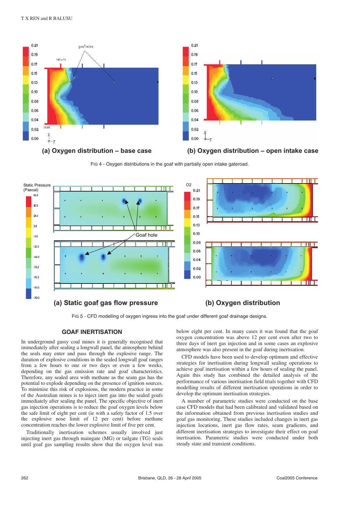







FIG 4 - Oxygen distributions in the goaf with partially open intake gateroad.



FIG 5 - CFD modelling of oxygen ingress into the goaf under different goaf drainage designs.

#### **GOAF INERTISATION**

In underground gassy coal mines it is generally recognised that immediately after sealing a longwall panel, the atmosphere behind the seals may enter and pass through the explosive range. The duration of explosive conditions in the sealed longwall goaf ranges from a few hours to one or two days or even a few weeks, depending on the gas emission rate and goaf characteristics. Therefore, any sealed area with methane as the seam gas has the potential to explode depending on the presence of ignition sources. To minimise this risk of explosions, the modern practice in some of the Australian mines is to inject inert gas into the sealed goafs immediately after sealing the panel. The specific objective of inert gas injection operations is to reduce the goaf oxygen levels below the safe limit of eight per cent (ie with a safety factor of 1.5 over the explosive nose limit of 12 per cent) before methane concentration reaches the lower explosive limit of five per cent.

Traditionally inertisation schemes usually involved just injecting inert gas through maingate (MG) or tailgate (TG) seals until goaf gas sampling results show that the oxygen level was below eight per cent. In many cases it was found that the goaf oxygen concentration was above 12 per cent even after two to three days of inert gas injection and in some cases an explosive atmosphere was also present in the goaf during inertisation.

CFD models have been used to develop optimum and effective strategies for inertisation during longwall sealing operations to achieve goaf inertisation within a few hours of sealing the panel. Again this study has combined the detailed analysis of the performance of various inertisation field trials together with CFD modelling results of different inertisation operations in order to develop the optimum inertisation strategies.

A number of parametric studies were conducted on the base case CFD models that had been calibrated and validated based on the information obtained from previous inertisation studies and goaf gas monitoring. These studies included changes in inert gas injection locations, inert gas flow rates, seam gradients, and different inertisation strategies to investigate their effect on goaf inertisation. Parametric studies were conducted under both steady state and transient conditions.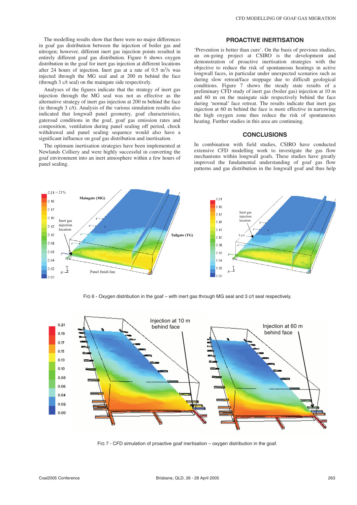The modelling results show that there were no major differences in goaf gas distribution between the injection of boiler gas and nitrogen; however, different inert gas injection points resulted in entirely different goaf gas distribution. Figure 6 shows oxygen distribution in the goaf for inert gas injection at different locations after 24 hours of injection. Inert gas at a rate of  $0.5 \text{ m}^3/\text{s}$  was injected through the MG seal and at 200 m behind the face (through 3 c/t seal) on the maingate side respectively.

Analyses of the figures indicate that the strategy of inert gas injection through the MG seal was not as effective as the alternative strategy of inert gas injection at 200 m behind the face (ie through 3 c/t). Analysis of the various simulation results also indicated that longwall panel geometry, goaf characteristics, gateroad conditions in the goaf, goaf gas emission rates and composition, ventilation during panel sealing off period, chock withdrawal and panel sealing sequence would also have a significant influence on goaf gas distribution and inertisation.

The optimum inertisation strategies have been implemented at Newlands Colliery and were highly successful in converting the goaf environment into an inert atmosphere within a few hours of panel sealing.

#### **PROACTIVE INERTISATION**

'Prevention is better than cure'. On the basis of previous studies, an on-going project at CSIRO is the development and demonstration of proactive inertisation strategies with the objective to reduce the risk of spontaneous heatings in active longwall faces, in particular under unexpected scenarios such as during slow retreat/face stoppage due to difficult geological conditions. Figure 7 shows the steady state results of a preliminary CFD study of inert gas (boiler gas) injection at 10 m and 60 m on the maingate side respectively behind the face during 'normal' face retreat. The results indicate that inert gas injection at 60 m behind the face is more effective in narrowing the high oxygen zone thus reduce the risk of spontaneous heating. Further studies in this area are continuing.

### **CONCLUSIONS**

In combination with field studies, CSIRO have conducted extensive CFD modelling work to investigate the gas flow mechanisms within longwall goafs. These studies have greatly improved the fundamental understanding of goaf gas flow patterns and gas distribution in the longwall goaf and thus help



FIG 6 - Oxygen distribution in the goaf – with inert gas through MG seal and 3 c/t seal respectively.



FIG 7 - CFD simulation of proactive goaf inertisation – oxygen distribution in the goaf.